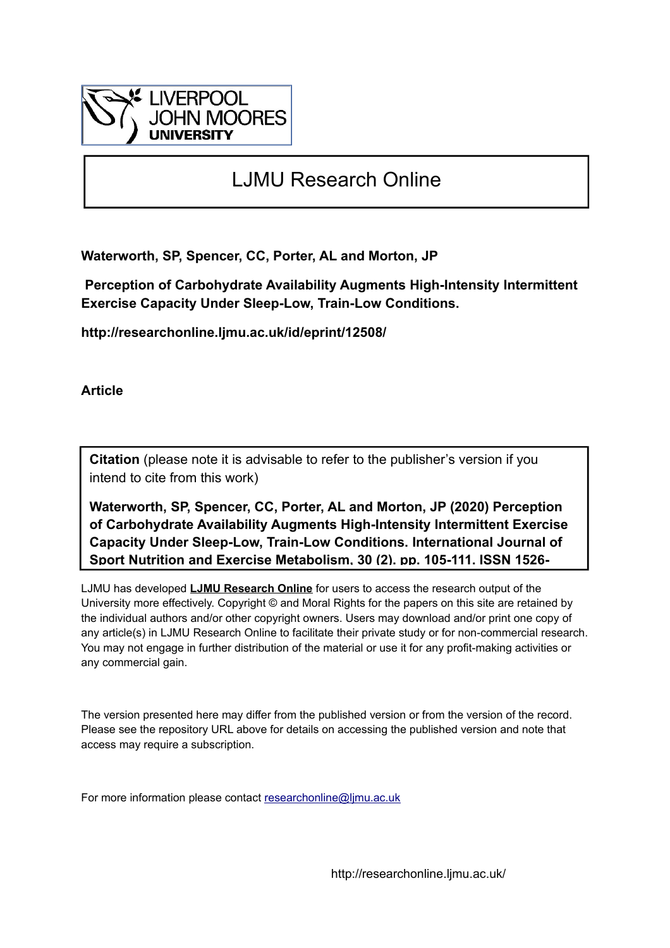

# LJMU Research Online

**Waterworth, SP, Spencer, CC, Porter, AL and Morton, JP**

 **Perception of Carbohydrate Availability Augments High-Intensity Intermittent Exercise Capacity Under Sleep-Low, Train-Low Conditions.**

**http://researchonline.ljmu.ac.uk/id/eprint/12508/**

**Article**

**Citation** (please note it is advisable to refer to the publisher's version if you intend to cite from this work)

**Waterworth, SP, Spencer, CC, Porter, AL and Morton, JP (2020) Perception of Carbohydrate Availability Augments High-Intensity Intermittent Exercise Capacity Under Sleep-Low, Train-Low Conditions. International Journal of Sport Nutrition and Exercise Metabolism, 30 (2). pp. 105-111. ISSN 1526-**

LJMU has developed **[LJMU Research Online](http://researchonline.ljmu.ac.uk/)** for users to access the research output of the University more effectively. Copyright © and Moral Rights for the papers on this site are retained by the individual authors and/or other copyright owners. Users may download and/or print one copy of any article(s) in LJMU Research Online to facilitate their private study or for non-commercial research. You may not engage in further distribution of the material or use it for any profit-making activities or any commercial gain.

The version presented here may differ from the published version or from the version of the record. Please see the repository URL above for details on accessing the published version and note that access may require a subscription.

For more information please contact [researchonline@ljmu.ac.uk](mailto:researchonline@ljmu.ac.uk)

http://researchonline.ljmu.ac.uk/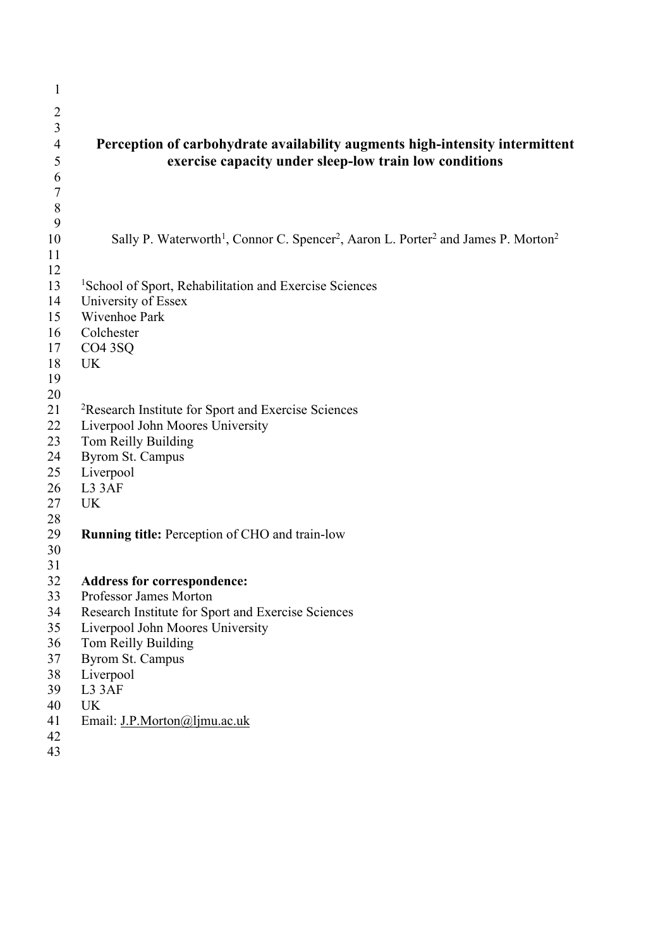| $\mathbf{1}$     |                                                                                                                                   |
|------------------|-----------------------------------------------------------------------------------------------------------------------------------|
| $\overline{2}$   |                                                                                                                                   |
| 3                |                                                                                                                                   |
| $\overline{4}$   | Perception of carbohydrate availability augments high-intensity intermittent                                                      |
|                  | exercise capacity under sleep-low train low conditions                                                                            |
| 5                |                                                                                                                                   |
| 6                |                                                                                                                                   |
| $\boldsymbol{7}$ |                                                                                                                                   |
| $\, 8$<br>9      |                                                                                                                                   |
|                  |                                                                                                                                   |
| 10<br>11         | Sally P. Waterworth <sup>1</sup> , Connor C. Spencer <sup>2</sup> , Aaron L. Porter <sup>2</sup> and James P. Morton <sup>2</sup> |
| 12               |                                                                                                                                   |
| 13               | <sup>1</sup> School of Sport, Rehabilitation and Exercise Sciences                                                                |
| 14               | University of Essex                                                                                                               |
| 15               | Wivenhoe Park                                                                                                                     |
| 16               | Colchester                                                                                                                        |
| 17               | CO <sub>4</sub> 3SQ                                                                                                               |
| 18               | <b>UK</b>                                                                                                                         |
| 19               |                                                                                                                                   |
| 20               |                                                                                                                                   |
| 21               | <sup>2</sup> Research Institute for Sport and Exercise Sciences                                                                   |
| 22               | Liverpool John Moores University                                                                                                  |
| 23               | Tom Reilly Building                                                                                                               |
| 24               | <b>Byrom St. Campus</b>                                                                                                           |
| 25               | Liverpool                                                                                                                         |
| 26               | L3 3AF                                                                                                                            |
| 27               | <b>UK</b>                                                                                                                         |
| 28               |                                                                                                                                   |
| 29               | <b>Running title:</b> Perception of CHO and train-low                                                                             |
| 30               |                                                                                                                                   |
| 31               |                                                                                                                                   |
| 32               | <b>Address for correspondence:</b>                                                                                                |
| 33               | Professor James Morton                                                                                                            |
| 34               | Research Institute for Sport and Exercise Sciences                                                                                |
| 35               | Liverpool John Moores University                                                                                                  |
| 36               | Tom Reilly Building                                                                                                               |
| 37               | <b>Byrom St. Campus</b>                                                                                                           |
| 38               | Liverpool                                                                                                                         |
| 39               | L3 3AF                                                                                                                            |
| 40               | <b>UK</b>                                                                                                                         |
| 41               | Email: J.P.Morton@ljmu.ac.uk                                                                                                      |
| 42               |                                                                                                                                   |
| 43               |                                                                                                                                   |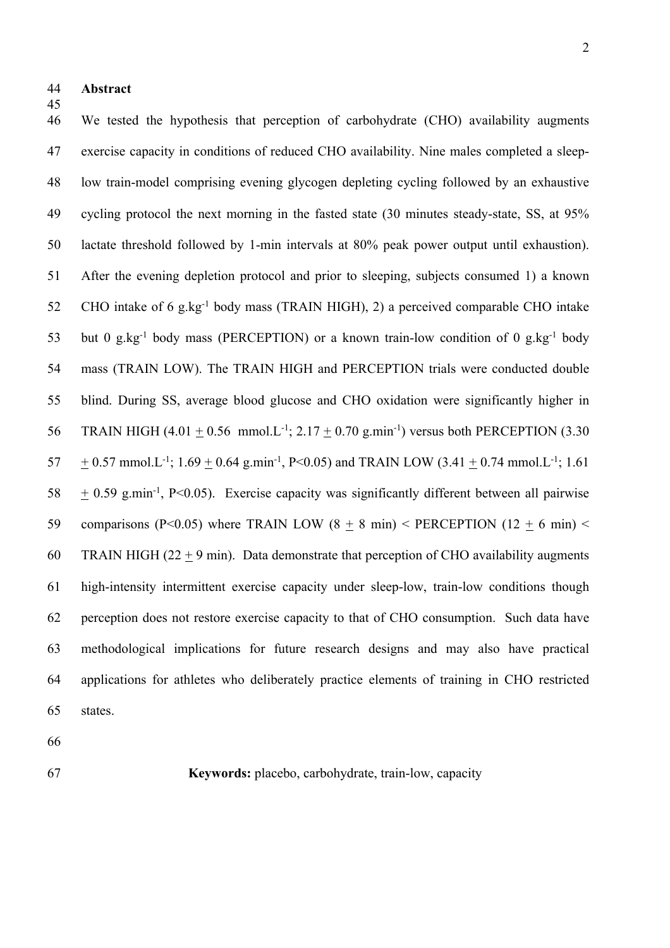- **Abstract**
- 

 We tested the hypothesis that perception of carbohydrate (CHO) availability augments exercise capacity in conditions of reduced CHO availability. Nine males completed a sleep- low train-model comprising evening glycogen depleting cycling followed by an exhaustive cycling protocol the next morning in the fasted state (30 minutes steady-state, SS, at 95% lactate threshold followed by 1-min intervals at 80% peak power output until exhaustion). After the evening depletion protocol and prior to sleeping, subjects consumed 1) a known 52 CHO intake of 6 g.kg<sup>-1</sup> body mass (TRAIN HIGH), 2) a perceived comparable CHO intake 53 but 0 g.kg<sup>-1</sup> body mass (PERCEPTION) or a known train-low condition of 0 g.kg<sup>-1</sup> body mass (TRAIN LOW). The TRAIN HIGH and PERCEPTION trials were conducted double blind. During SS, average blood glucose and CHO oxidation were significantly higher in 56 TRAIN HIGH  $(4.01 \pm 0.56 \text{ mmol}$ . L<sup>-1</sup>; 2.17  $\pm$  0.70 g.min<sup>-1</sup>) versus both PERCEPTION (3.30  $\pm$  0.57 mmol.L<sup>-1</sup>; 1.69  $\pm$  0.64 g.min<sup>-1</sup>, P<0.05) and TRAIN LOW (3.41  $\pm$  0.74 mmol.L<sup>-1</sup>; 1.61  $58 + 0.59$  g.min<sup>-1</sup>, P<0.05). Exercise capacity was significantly different between all pairwise 59 comparisons (P<0.05) where TRAIN LOW (8  $\pm$  8 min) < PERCEPTION (12  $\pm$  6 min) < 60 TRAIN HIGH (22  $\pm$  9 min). Data demonstrate that perception of CHO availability augments high-intensity intermittent exercise capacity under sleep-low, train-low conditions though perception does not restore exercise capacity to that of CHO consumption. Such data have methodological implications for future research designs and may also have practical applications for athletes who deliberately practice elements of training in CHO restricted states.

- 
- 

**Keywords:** placebo, carbohydrate, train-low, capacity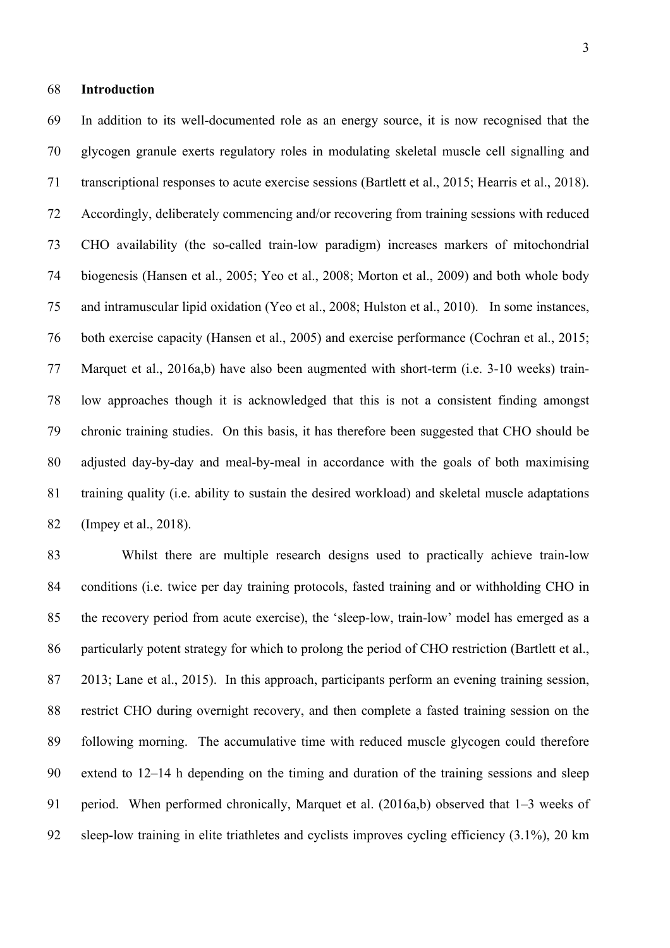#### **Introduction**

 In addition to its well-documented role as an energy source, it is now recognised that the glycogen granule exerts regulatory roles in modulating skeletal muscle cell signalling and transcriptional responses to acute exercise sessions (Bartlett et al., 2015; Hearris et al., 2018). Accordingly, deliberately commencing and/or recovering from training sessions with reduced CHO availability (the so-called train-low paradigm) increases markers of mitochondrial biogenesis (Hansen et al., 2005; Yeo et al., 2008; Morton et al., 2009) and both whole body and intramuscular lipid oxidation (Yeo et al., 2008; Hulston et al., 2010). In some instances, both exercise capacity (Hansen et al., 2005) and exercise performance (Cochran et al., 2015; Marquet et al., 2016a,b) have also been augmented with short-term (i.e. 3-10 weeks) train- low approaches though it is acknowledged that this is not a consistent finding amongst chronic training studies. On this basis, it has therefore been suggested that CHO should be adjusted day-by-day and meal-by-meal in accordance with the goals of both maximising training quality (i.e. ability to sustain the desired workload) and skeletal muscle adaptations (Impey et al., 2018).

 Whilst there are multiple research designs used to practically achieve train-low conditions (i.e. twice per day training protocols, fasted training and or withholding CHO in the recovery period from acute exercise), the 'sleep-low, train-low' model has emerged as a 86 particularly potent strategy for which to prolong the period of CHO restriction (Bartlett et al., 2013; Lane et al., 2015). In this approach, participants perform an evening training session, restrict CHO during overnight recovery, and then complete a fasted training session on the following morning. The accumulative time with reduced muscle glycogen could therefore extend to 12–14 h depending on the timing and duration of the training sessions and sleep 91 period. When performed chronically, Marquet et al. (2016a,b) observed that 1–3 weeks of sleep-low training in elite triathletes and cyclists improves cycling efficiency (3.1%), 20 km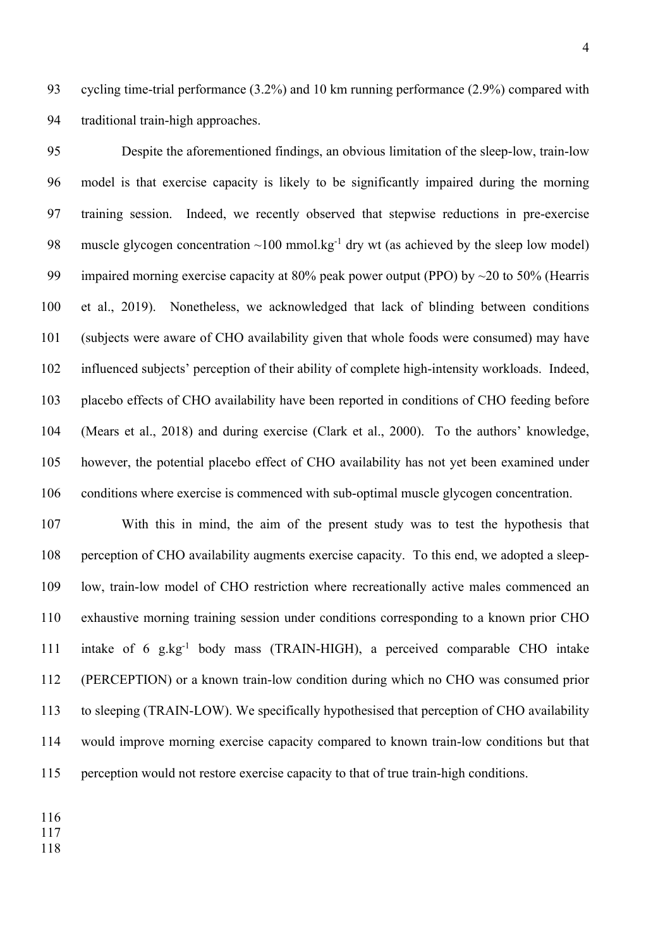cycling time-trial performance (3.2%) and 10 km running performance (2.9%) compared with traditional train-high approaches.

 Despite the aforementioned findings, an obvious limitation of the sleep-low, train-low model is that exercise capacity is likely to be significantly impaired during the morning training session. Indeed, we recently observed that stepwise reductions in pre-exercise 98 muscle glycogen concentration  $\sim 100$  mmol.kg<sup>-1</sup> dry wt (as achieved by the sleep low model) 99 impaired morning exercise capacity at 80% peak power output (PPO) by  $\sim$ 20 to 50% (Hearris et al., 2019). Nonetheless, we acknowledged that lack of blinding between conditions (subjects were aware of CHO availability given that whole foods were consumed) may have influenced subjects' perception of their ability of complete high-intensity workloads. Indeed, placebo effects of CHO availability have been reported in conditions of CHO feeding before (Mears et al., 2018) and during exercise (Clark et al., 2000). To the authors' knowledge, however, the potential placebo effect of CHO availability has not yet been examined under conditions where exercise is commenced with sub-optimal muscle glycogen concentration.

 With this in mind, the aim of the present study was to test the hypothesis that perception of CHO availability augments exercise capacity. To this end, we adopted a sleep- low, train-low model of CHO restriction where recreationally active males commenced an exhaustive morning training session under conditions corresponding to a known prior CHO 111 intake of 6 g.kg<sup>-1</sup> body mass (TRAIN-HIGH), a perceived comparable CHO intake (PERCEPTION) or a known train-low condition during which no CHO was consumed prior to sleeping (TRAIN-LOW). We specifically hypothesised that perception of CHO availability would improve morning exercise capacity compared to known train-low conditions but that perception would not restore exercise capacity to that of true train-high conditions.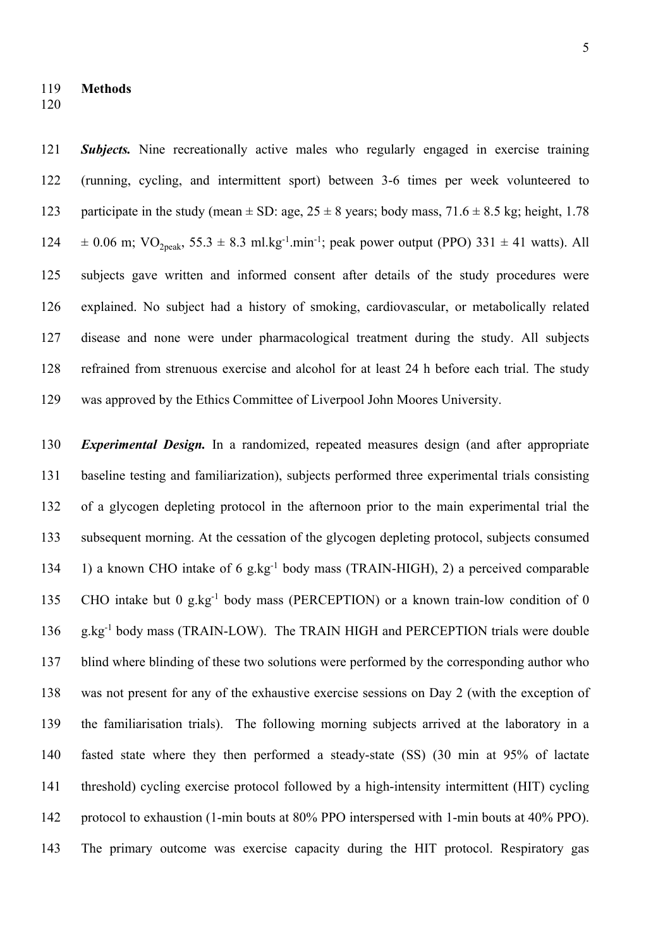*Subjects.* Nine recreationally active males who regularly engaged in exercise training (running, cycling, and intermittent sport) between 3-6 times per week volunteered to 123 participate in the study (mean  $\pm$  SD: age, 25  $\pm$  8 years; body mass, 71.6  $\pm$  8.5 kg; height, 1.78  $\pm$  0.06 m; VO<sub>2peak</sub>, 55.3  $\pm$  8.3 ml.kg<sup>-1</sup>.min<sup>-1</sup>; peak power output (PPO) 331  $\pm$  41 watts). All subjects gave written and informed consent after details of the study procedures were explained. No subject had a history of smoking, cardiovascular, or metabolically related disease and none were under pharmacological treatment during the study. All subjects refrained from strenuous exercise and alcohol for at least 24 h before each trial. The study was approved by the Ethics Committee of Liverpool John Moores University.

 *Experimental Design.* In a randomized, repeated measures design (and after appropriate baseline testing and familiarization), subjects performed three experimental trials consisting of a glycogen depleting protocol in the afternoon prior to the main experimental trial the subsequent morning. At the cessation of the glycogen depleting protocol, subjects consumed 134 1) a known CHO intake of 6 g.kg<sup>-1</sup> body mass (TRAIN-HIGH), 2) a perceived comparable 135 CHO intake but 0 g.kg<sup>-1</sup> body mass (PERCEPTION) or a known train-low condition of 0 136 g.kg<sup>-1</sup> body mass (TRAIN-LOW). The TRAIN HIGH and PERCEPTION trials were double blind where blinding of these two solutions were performed by the corresponding author who was not present for any of the exhaustive exercise sessions on Day 2 (with the exception of the familiarisation trials). The following morning subjects arrived at the laboratory in a fasted state where they then performed a steady-state (SS) (30 min at 95% of lactate threshold) cycling exercise protocol followed by a high-intensity intermittent (HIT) cycling protocol to exhaustion (1-min bouts at 80% PPO interspersed with 1-min bouts at 40% PPO). The primary outcome was exercise capacity during the HIT protocol. Respiratory gas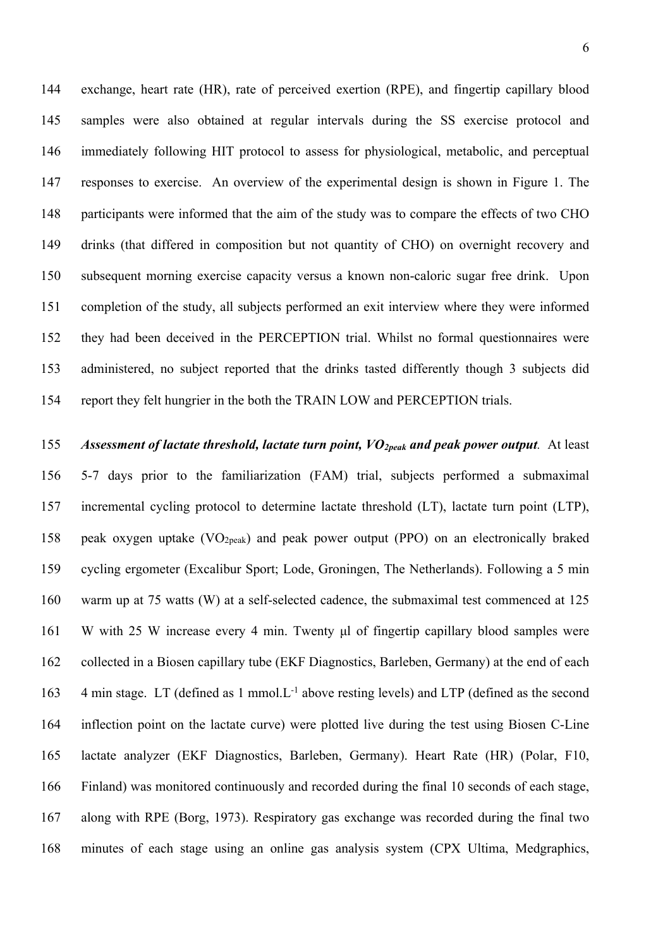exchange, heart rate (HR), rate of perceived exertion (RPE), and fingertip capillary blood samples were also obtained at regular intervals during the SS exercise protocol and immediately following HIT protocol to assess for physiological, metabolic, and perceptual responses to exercise. An overview of the experimental design is shown in Figure 1. The participants were informed that the aim of the study was to compare the effects of two CHO drinks (that differed in composition but not quantity of CHO) on overnight recovery and subsequent morning exercise capacity versus a known non-caloric sugar free drink. Upon completion of the study, all subjects performed an exit interview where they were informed they had been deceived in the PERCEPTION trial. Whilst no formal questionnaires were administered, no subject reported that the drinks tasted differently though 3 subjects did report they felt hungrier in the both the TRAIN LOW and PERCEPTION trials.

 *Assessment of lactate threshold, lactate turn point, VO2peak and peak power output.* At least 5-7 days prior to the familiarization (FAM) trial, subjects performed a submaximal incremental cycling protocol to determine lactate threshold (LT), lactate turn point (LTP), peak oxygen uptake (VO2peak) and peak power output (PPO) on an electronically braked cycling ergometer (Excalibur Sport; Lode, Groningen, The Netherlands). Following a 5 min warm up at 75 watts (W) at a self-selected cadence, the submaximal test commenced at 125 W with 25 W increase every 4 min. Twenty μl of fingertip capillary blood samples were collected in a Biosen capillary tube (EKF Diagnostics, Barleben, Germany) at the end of each 163 4 min stage. LT (defined as 1 mmol.  $L^{-1}$  above resting levels) and LTP (defined as the second inflection point on the lactate curve) were plotted live during the test using Biosen C-Line lactate analyzer (EKF Diagnostics, Barleben, Germany). Heart Rate (HR) (Polar, F10, Finland) was monitored continuously and recorded during the final 10 seconds of each stage, along with RPE (Borg, 1973). Respiratory gas exchange was recorded during the final two minutes of each stage using an online gas analysis system (CPX Ultima, Medgraphics,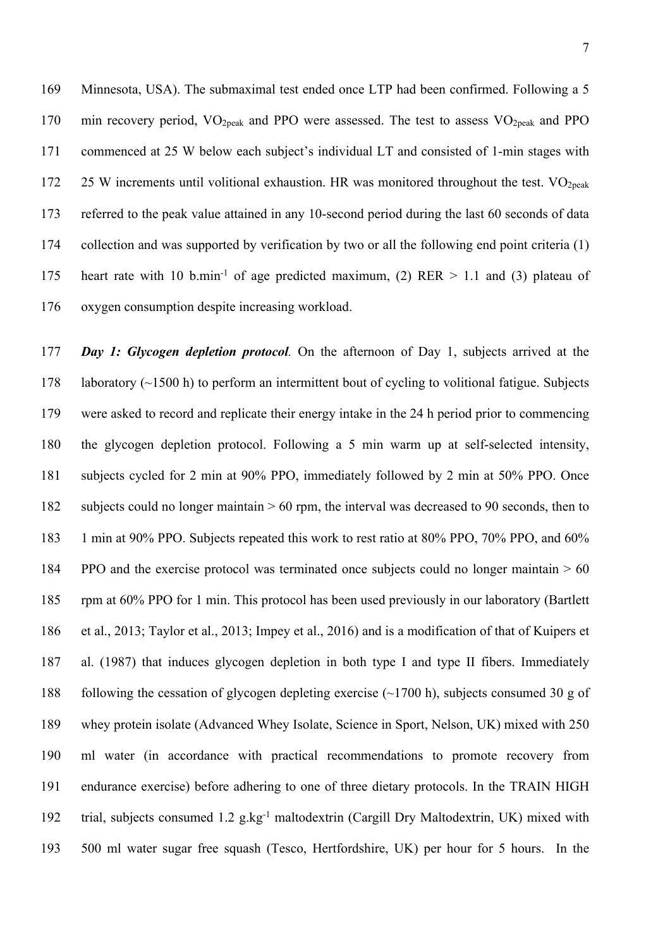Minnesota, USA). The submaximal test ended once LTP had been confirmed. Following a 5 170 min recovery period,  $VO<sub>2peak</sub>$  and PPO were assessed. The test to assess  $VO<sub>2peak</sub>$  and PPO commenced at 25 W below each subject's individual LT and consisted of 1-min stages with 172 25 W increments until volitional exhaustion. HR was monitored throughout the test.  $VO<sub>2peak</sub>$  referred to the peak value attained in any 10-second period during the last 60 seconds of data collection and was supported by verification by two or all the following end point criteria (1) 175 heart rate with 10 b.min<sup>-1</sup> of age predicted maximum, (2) RER  $> 1.1$  and (3) plateau of oxygen consumption despite increasing workload.

 *Day 1: Glycogen depletion protocol.* On the afternoon of Day 1, subjects arrived at the 178 laboratory  $(\sim 1500 \text{ h})$  to perform an intermittent bout of cycling to volitional fatigue. Subjects were asked to record and replicate their energy intake in the 24 h period prior to commencing the glycogen depletion protocol. Following a 5 min warm up at self-selected intensity, subjects cycled for 2 min at 90% PPO, immediately followed by 2 min at 50% PPO. Once subjects could no longer maintain > 60 rpm, the interval was decreased to 90 seconds, then to 1 min at 90% PPO. Subjects repeated this work to rest ratio at 80% PPO, 70% PPO, and 60% PPO and the exercise protocol was terminated once subjects could no longer maintain > 60 rpm at 60% PPO for 1 min. This protocol has been used previously in our laboratory (Bartlett et al., 2013; Taylor et al., 2013; Impey et al., 2016) and is a modification of that of Kuipers et al. (1987) that induces glycogen depletion in both type I and type II fibers. Immediately 188 following the cessation of glycogen depleting exercise  $(\sim 1700 \text{ h})$ , subjects consumed 30 g of whey protein isolate (Advanced Whey Isolate, Science in Sport, Nelson, UK) mixed with 250 ml water (in accordance with practical recommendations to promote recovery from endurance exercise) before adhering to one of three dietary protocols. In the TRAIN HIGH 192 trial, subjects consumed 1.2 g.kg<sup>-1</sup> maltodextrin (Cargill Dry Maltodextrin, UK) mixed with 500 ml water sugar free squash (Tesco, Hertfordshire, UK) per hour for 5 hours. In the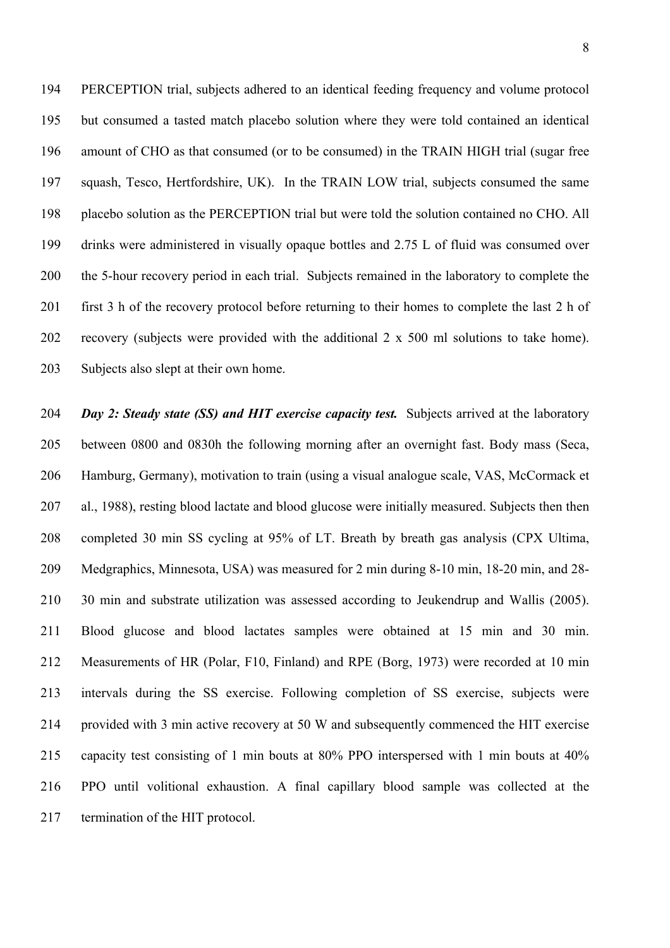PERCEPTION trial, subjects adhered to an identical feeding frequency and volume protocol but consumed a tasted match placebo solution where they were told contained an identical amount of CHO as that consumed (or to be consumed) in the TRAIN HIGH trial (sugar free squash, Tesco, Hertfordshire, UK). In the TRAIN LOW trial, subjects consumed the same placebo solution as the PERCEPTION trial but were told the solution contained no CHO. All drinks were administered in visually opaque bottles and 2.75 L of fluid was consumed over the 5-hour recovery period in each trial. Subjects remained in the laboratory to complete the first 3 h of the recovery protocol before returning to their homes to complete the last 2 h of recovery (subjects were provided with the additional 2 x 500 ml solutions to take home). Subjects also slept at their own home.

 *Day 2: Steady state (SS) and HIT exercise capacity test.* Subjects arrived at the laboratory between 0800 and 0830h the following morning after an overnight fast. Body mass (Seca, Hamburg, Germany), motivation to train (using a visual analogue scale, VAS, McCormack et al., 1988), resting blood lactate and blood glucose were initially measured. Subjects then then completed 30 min SS cycling at 95% of LT. Breath by breath gas analysis (CPX Ultima, Medgraphics, Minnesota, USA) was measured for 2 min during 8-10 min, 18-20 min, and 28- 30 min and substrate utilization was assessed according to Jeukendrup and Wallis (2005). Blood glucose and blood lactates samples were obtained at 15 min and 30 min. Measurements of HR (Polar, F10, Finland) and RPE (Borg, 1973) were recorded at 10 min intervals during the SS exercise. Following completion of SS exercise, subjects were provided with 3 min active recovery at 50 W and subsequently commenced the HIT exercise capacity test consisting of 1 min bouts at 80% PPO interspersed with 1 min bouts at 40% PPO until volitional exhaustion. A final capillary blood sample was collected at the termination of the HIT protocol.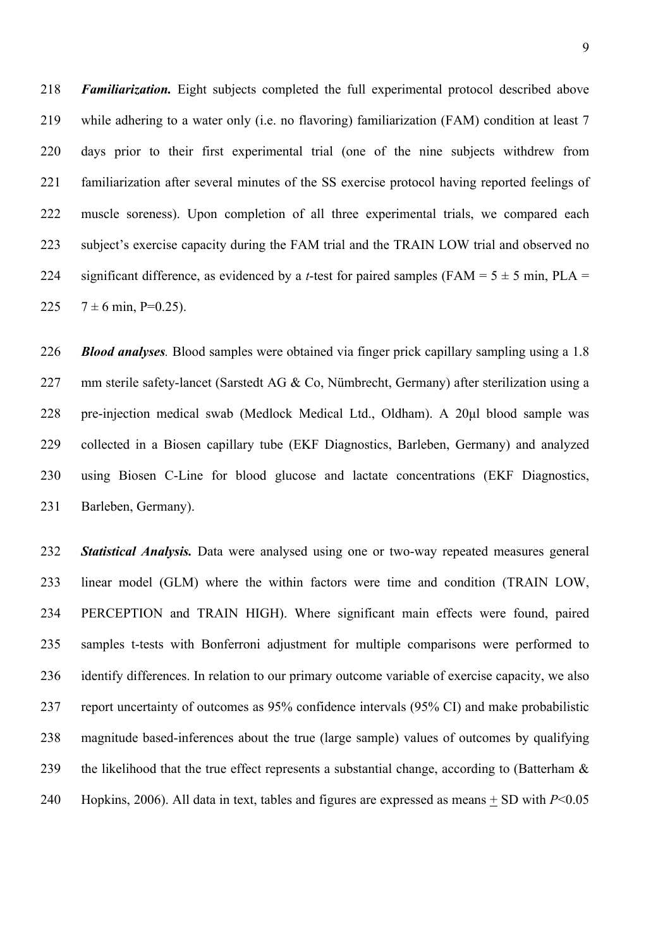*Familiarization.* Eight subjects completed the full experimental protocol described above while adhering to a water only (i.e. no flavoring) familiarization (FAM) condition at least 7 days prior to their first experimental trial (one of the nine subjects withdrew from familiarization after several minutes of the SS exercise protocol having reported feelings of muscle soreness). Upon completion of all three experimental trials, we compared each subject's exercise capacity during the FAM trial and the TRAIN LOW trial and observed no 224 significant difference, as evidenced by a *t*-test for paired samples (FAM =  $5 \pm 5$  min, PLA =  $7 \pm 6$  min, P=0.25).

 *Blood analyses.* Blood samples were obtained via finger prick capillary sampling using a 1.8 227 mm sterile safety-lancet (Sarstedt AG & Co, Nümbrecht, Germany) after sterilization using a pre-injection medical swab (Medlock Medical Ltd., Oldham). A 20μl blood sample was collected in a Biosen capillary tube (EKF Diagnostics, Barleben, Germany) and analyzed using Biosen C-Line for blood glucose and lactate concentrations (EKF Diagnostics, Barleben, Germany).

 *Statistical Analysis.* Data were analysed using one or two-way repeated measures general linear model (GLM) where the within factors were time and condition (TRAIN LOW, PERCEPTION and TRAIN HIGH). Where significant main effects were found, paired samples t-tests with Bonferroni adjustment for multiple comparisons were performed to identify differences. In relation to our primary outcome variable of exercise capacity, we also report uncertainty of outcomes as 95% confidence intervals (95% CI) and make probabilistic magnitude based-inferences about the true (large sample) values of outcomes by qualifying 239 the likelihood that the true effect represents a substantial change, according to (Batterham  $\&$ Hopkins, 2006). All data in text, tables and figures are expressed as means + SD with *P*<0.05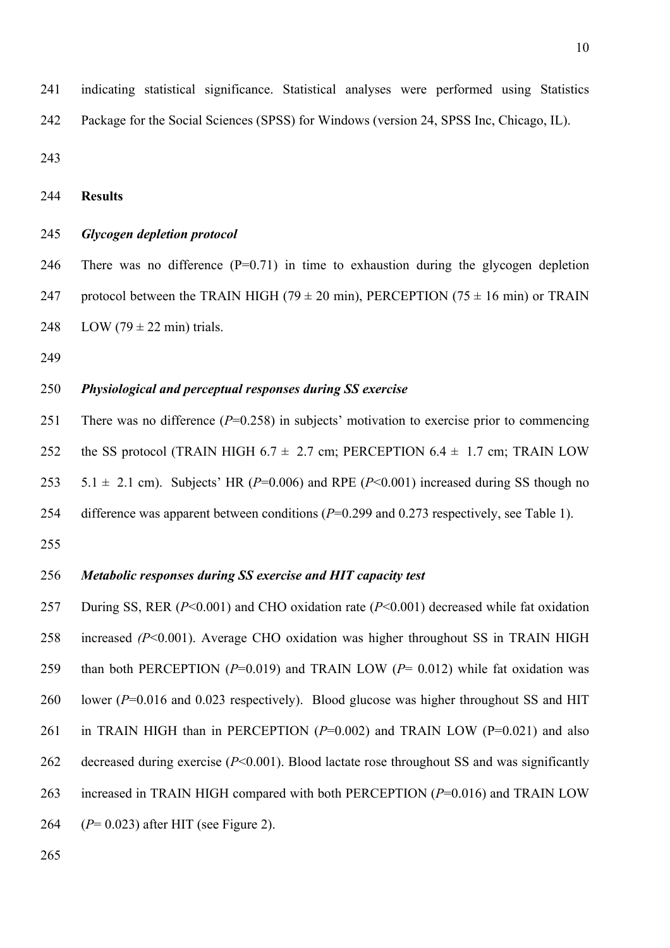indicating statistical significance. Statistical analyses were performed using Statistics Package for the Social Sciences (SPSS) for Windows (version 24, SPSS Inc, Chicago, IL).

**Results**

### *Glycogen depletion protocol*

246 There was no difference  $(P=0.71)$  in time to exhaustion during the glycogen depletion 247 protocol between the TRAIN HIGH (79  $\pm$  20 min), PERCEPTION (75  $\pm$  16 min) or TRAIN 248 LOW (79  $\pm$  22 min) trials.

## *Physiological and perceptual responses during SS exercise*

 There was no difference (*P*=0.258) in subjects' motivation to exercise prior to commencing 252 the SS protocol (TRAIN HIGH 6.7  $\pm$  2.7 cm; PERCEPTION 6.4  $\pm$  1.7 cm; TRAIN LOW 253 5.1  $\pm$  2.1 cm). Subjects' HR (*P*=0.006) and RPE (*P*<0.001) increased during SS though no difference was apparent between conditions (*P*=0.299 and 0.273 respectively, see Table 1). 

## *Metabolic responses during SS exercise and HIT capacity test*

 During SS, RER (*P*<0.001) and CHO oxidation rate (*P*<0.001) decreased while fat oxidation increased *(P*<0.001). Average CHO oxidation was higher throughout SS in TRAIN HIGH than both PERCEPTION (*P*=0.019) and TRAIN LOW (*P*= 0.012) while fat oxidation was lower (*P*=0.016 and 0.023 respectively). Blood glucose was higher throughout SS and HIT 261 in TRAIN HIGH than in PERCEPTION (P=0.002) and TRAIN LOW (P=0.021) and also 262 decreased during exercise (*P*<0.001). Blood lactate rose throughout SS and was significantly increased in TRAIN HIGH compared with both PERCEPTION (*P*=0.016) and TRAIN LOW (*P*= 0.023) after HIT (see Figure 2).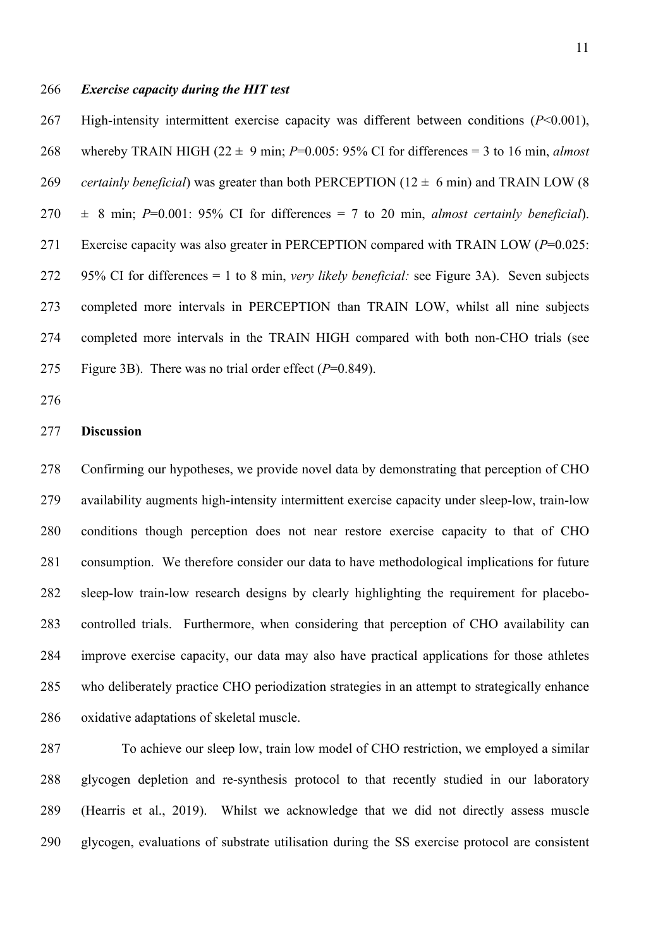#### *Exercise capacity during the HIT test*

 High-intensity intermittent exercise capacity was different between conditions (*P*<0.001), 268 whereby TRAIN HIGH  $(22 \pm 9 \text{ min}; P=0.005; 95\% \text{ CI} \text{ for differences} = 3 \text{ to } 16 \text{ min}, \text{ almost}$ *certainly beneficial*) was greater than both PERCEPTION ( $12 \pm 6$  min) and TRAIN LOW (8)  $270 \pm 8$  min;  $P=0.001$ : 95% CI for differences = 7 to 20 min, *almost certainly beneficial*). Exercise capacity was also greater in PERCEPTION compared with TRAIN LOW (*P*=0.025: 95% CI for differences = 1 to 8 min, *very likely beneficial:* see Figure 3A). Seven subjects completed more intervals in PERCEPTION than TRAIN LOW, whilst all nine subjects completed more intervals in the TRAIN HIGH compared with both non-CHO trials (see Figure 3B). There was no trial order effect (*P*=0.849).

## **Discussion**

 Confirming our hypotheses, we provide novel data by demonstrating that perception of CHO availability augments high-intensity intermittent exercise capacity under sleep-low, train-low conditions though perception does not near restore exercise capacity to that of CHO consumption. We therefore consider our data to have methodological implications for future sleep-low train-low research designs by clearly highlighting the requirement for placebo- controlled trials. Furthermore, when considering that perception of CHO availability can improve exercise capacity, our data may also have practical applications for those athletes who deliberately practice CHO periodization strategies in an attempt to strategically enhance oxidative adaptations of skeletal muscle.

 To achieve our sleep low, train low model of CHO restriction, we employed a similar glycogen depletion and re-synthesis protocol to that recently studied in our laboratory (Hearris et al., 2019). Whilst we acknowledge that we did not directly assess muscle glycogen, evaluations of substrate utilisation during the SS exercise protocol are consistent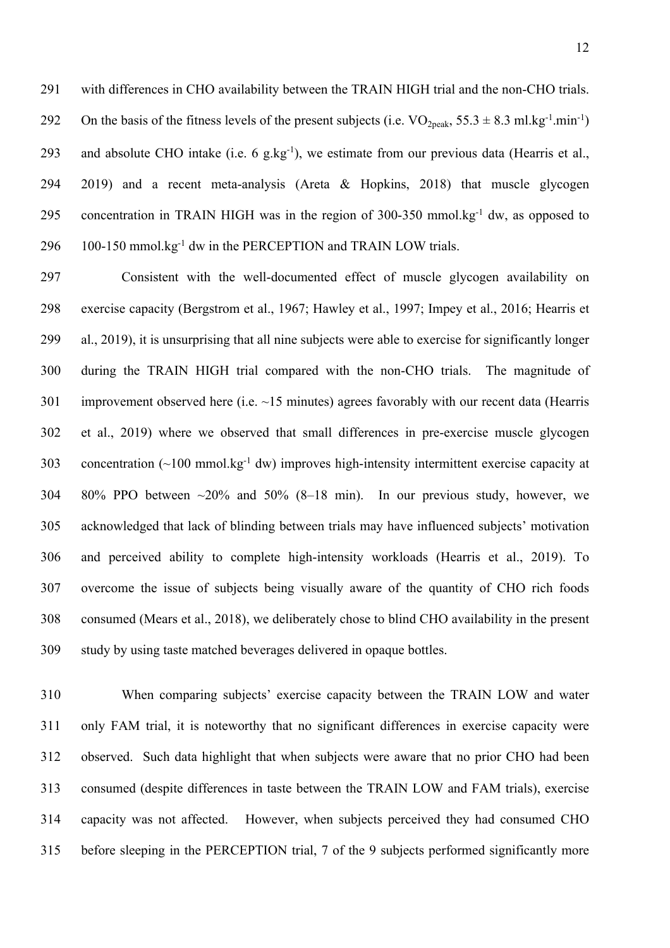with differences in CHO availability between the TRAIN HIGH trial and the non-CHO trials. 292 On the basis of the fitness levels of the present subjects (i.e.  $VO_{2peak}$ ,  $55.3 \pm 8.3$  ml.kg<sup>-1</sup>.min<sup>-1</sup>) 293 and absolute CHO intake (i.e. g.kg<sup>-1</sup>), we estimate from our previous data (Hearris et al., 2019) and a recent meta-analysis (Areta & Hopkins, 2018) that muscle glycogen 295 concentration in TRAIN HIGH was in the region of 300-350 mmol.kg $^{-1}$  dw, as opposed to  $100-150$  mmol.kg<sup>-1</sup> dw in the PERCEPTION and TRAIN LOW trials.

 Consistent with the well-documented effect of muscle glycogen availability on exercise capacity (Bergstrom et al., 1967; Hawley et al., 1997; Impey et al., 2016; Hearris et al., 2019), it is unsurprising that all nine subjects were able to exercise for significantly longer during the TRAIN HIGH trial compared with the non-CHO trials. The magnitude of 301 improvement observed here (i.e. ~15 minutes) agrees favorably with our recent data (Hearris et al., 2019) where we observed that small differences in pre-exercise muscle glycogen 303 concentration  $(\sim 100 \text{ mmol} \cdot \text{kg}^{-1} \text{ dw})$  improves high-intensity intermittent exercise capacity at 80% PPO between ~20% and 50% (8–18 min). In our previous study, however, we acknowledged that lack of blinding between trials may have influenced subjects' motivation and perceived ability to complete high-intensity workloads (Hearris et al., 2019). To overcome the issue of subjects being visually aware of the quantity of CHO rich foods consumed (Mears et al., 2018), we deliberately chose to blind CHO availability in the present study by using taste matched beverages delivered in opaque bottles.

 When comparing subjects' exercise capacity between the TRAIN LOW and water only FAM trial, it is noteworthy that no significant differences in exercise capacity were observed. Such data highlight that when subjects were aware that no prior CHO had been consumed (despite differences in taste between the TRAIN LOW and FAM trials), exercise capacity was not affected. However, when subjects perceived they had consumed CHO before sleeping in the PERCEPTION trial, 7 of the 9 subjects performed significantly more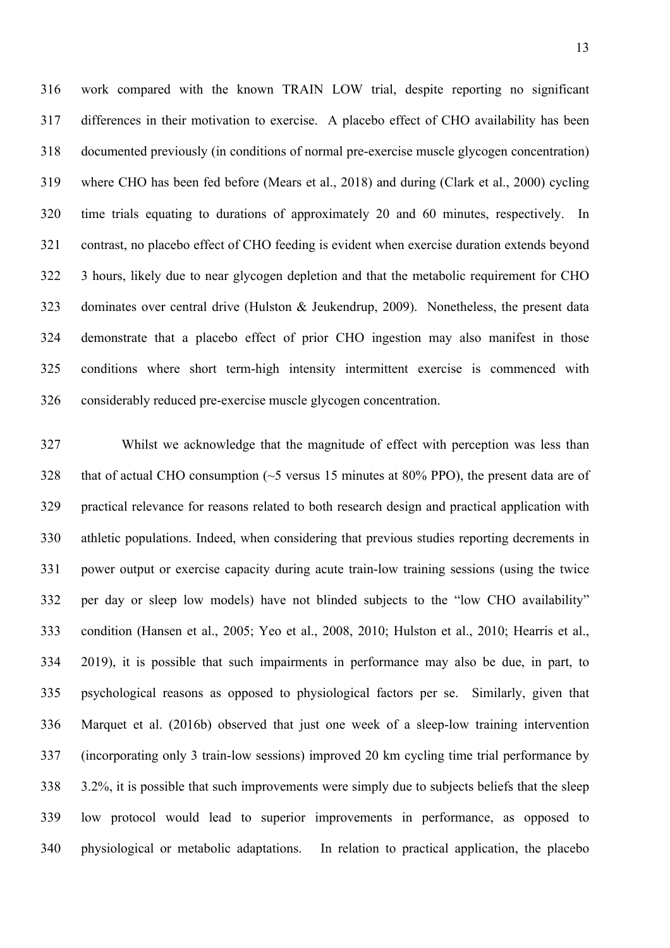work compared with the known TRAIN LOW trial, despite reporting no significant differences in their motivation to exercise. A placebo effect of CHO availability has been documented previously (in conditions of normal pre-exercise muscle glycogen concentration) where CHO has been fed before (Mears et al., 2018) and during (Clark et al., 2000) cycling time trials equating to durations of approximately 20 and 60 minutes, respectively. In contrast, no placebo effect of CHO feeding is evident when exercise duration extends beyond 3 hours, likely due to near glycogen depletion and that the metabolic requirement for CHO dominates over central drive (Hulston & Jeukendrup, 2009). Nonetheless, the present data demonstrate that a placebo effect of prior CHO ingestion may also manifest in those conditions where short term-high intensity intermittent exercise is commenced with considerably reduced pre-exercise muscle glycogen concentration.

 Whilst we acknowledge that the magnitude of effect with perception was less than 328 that of actual CHO consumption  $\sim$  5 versus 15 minutes at 80% PPO), the present data are of practical relevance for reasons related to both research design and practical application with athletic populations. Indeed, when considering that previous studies reporting decrements in power output or exercise capacity during acute train-low training sessions (using the twice per day or sleep low models) have not blinded subjects to the "low CHO availability" condition (Hansen et al., 2005; Yeo et al., 2008, 2010; Hulston et al., 2010; Hearris et al., 2019), it is possible that such impairments in performance may also be due, in part, to psychological reasons as opposed to physiological factors per se. Similarly, given that Marquet et al. (2016b) observed that just one week of a sleep-low training intervention (incorporating only 3 train-low sessions) improved 20 km cycling time trial performance by 3.2%, it is possible that such improvements were simply due to subjects beliefs that the sleep low protocol would lead to superior improvements in performance, as opposed to physiological or metabolic adaptations. In relation to practical application, the placebo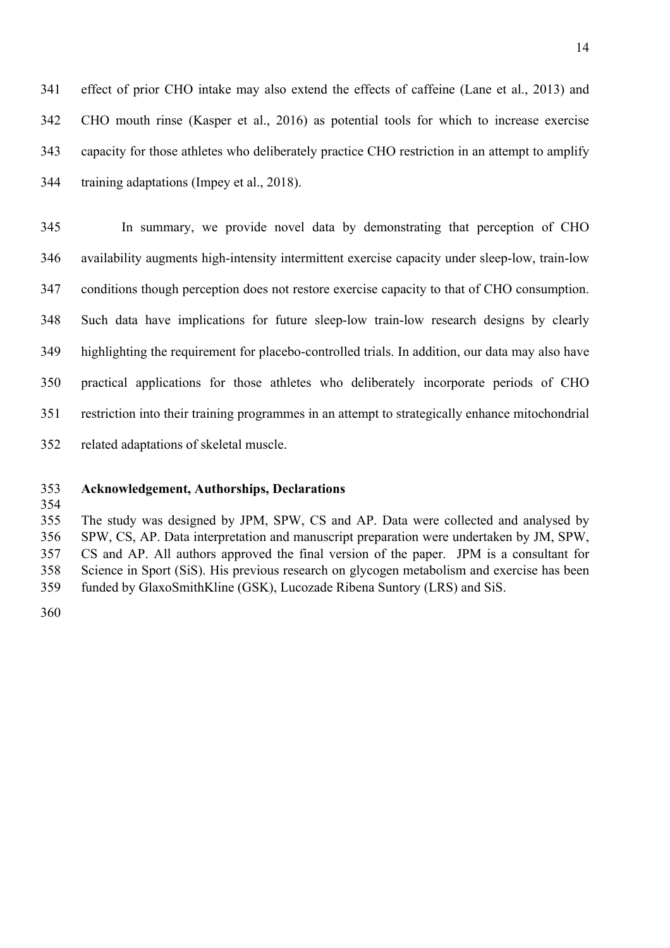effect of prior CHO intake may also extend the effects of caffeine (Lane et al., 2013) and CHO mouth rinse (Kasper et al., 2016) as potential tools for which to increase exercise capacity for those athletes who deliberately practice CHO restriction in an attempt to amplify training adaptations (Impey et al., 2018).

 In summary, we provide novel data by demonstrating that perception of CHO availability augments high-intensity intermittent exercise capacity under sleep-low, train-low conditions though perception does not restore exercise capacity to that of CHO consumption. Such data have implications for future sleep-low train-low research designs by clearly highlighting the requirement for placebo-controlled trials. In addition, our data may also have practical applications for those athletes who deliberately incorporate periods of CHO restriction into their training programmes in an attempt to strategically enhance mitochondrial related adaptations of skeletal muscle.

- **Acknowledgement, Authorships, Declarations**
- 

 The study was designed by JPM, SPW, CS and AP. Data were collected and analysed by SPW, CS, AP. Data interpretation and manuscript preparation were undertaken by JM, SPW, CS and AP. All authors approved the final version of the paper. JPM is a consultant for Science in Sport (SiS). His previous research on glycogen metabolism and exercise has been funded by GlaxoSmithKline (GSK), Lucozade Ribena Suntory (LRS) and SiS.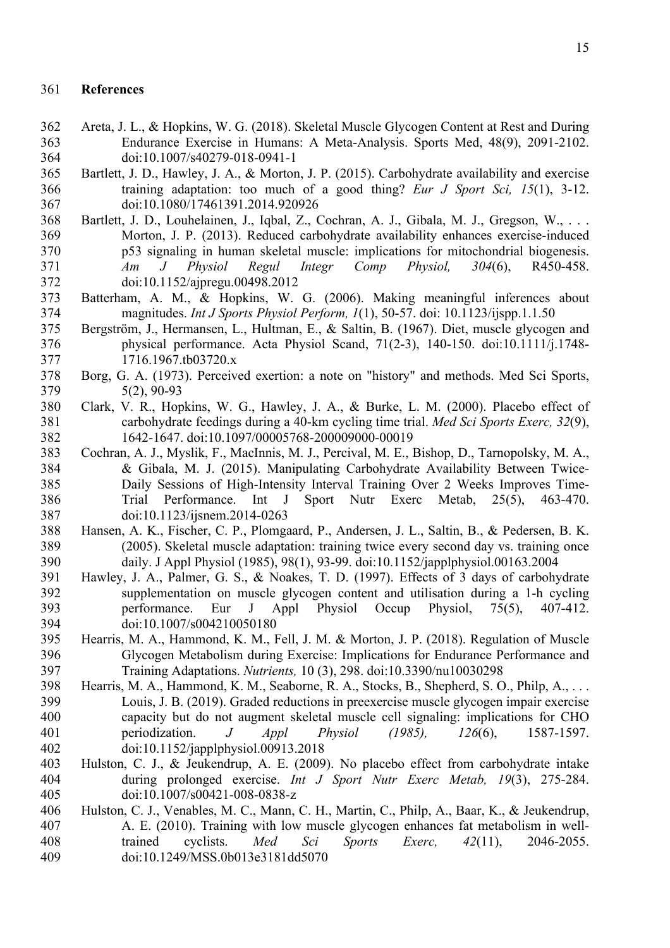#### **References**

- Areta, J. L., & Hopkins, W. G. (2018). Skeletal Muscle Glycogen Content at Rest and During Endurance Exercise in Humans: A Meta-Analysis. Sports Med, 48(9), 2091-2102. doi:10.1007/s40279-018-0941-1
- Bartlett, J. D., Hawley, J. A., & Morton, J. P. (2015). Carbohydrate availability and exercise training adaptation: too much of a good thing? *Eur J Sport Sci, 15*(1), 3-12. doi:10.1080/17461391.2014.920926
- Bartlett, J. D., Louhelainen, J., Iqbal, Z., Cochran, A. J., Gibala, M. J., Gregson, W., . . . Morton, J. P. (2013). Reduced carbohydrate availability enhances exercise-induced p53 signaling in human skeletal muscle: implications for mitochondrial biogenesis. *Am J Physiol Regul Integr Comp Physiol, 304*(6), R450-458. doi:10.1152/ajpregu.00498.2012
- Batterham, A. M., & Hopkins, W. G. (2006). Making meaningful inferences about magnitudes. *Int J Sports Physiol Perform, 1*(1), 50-57. doi: 10.1123/ijspp.1.1.50
- Bergström, J., Hermansen, L., Hultman, E., & Saltin, B. (1967). Diet, muscle glycogen and physical performance. Acta Physiol Scand, 71(2‐3), 140-150. doi:10.1111/j.1748- 1716.1967.tb03720.x
- Borg, G. A. (1973). Perceived exertion: a note on "history" and methods. Med Sci Sports, 5(2), 90-93
- Clark, V. R., Hopkins, W. G., Hawley, J. A., & Burke, L. M. (2000). Placebo effect of carbohydrate feedings during a 40-km cycling time trial. *Med Sci Sports Exerc, 32*(9), 1642-1647. doi:10.1097/00005768-200009000-00019
- Cochran, A. J., Myslik, F., MacInnis, M. J., Percival, M. E., Bishop, D., Tarnopolsky, M. A., & Gibala, M. J. (2015). Manipulating Carbohydrate Availability Between Twice- Daily Sessions of High-Intensity Interval Training Over 2 Weeks Improves Time- Trial Performance. Int J Sport Nutr Exerc Metab, 25(5), 463-470. doi:10.1123/ijsnem.2014-0263
- Hansen, A. K., Fischer, C. P., Plomgaard, P., Andersen, J. L., Saltin, B., & Pedersen, B. K. (2005). Skeletal muscle adaptation: training twice every second day vs. training once daily. J Appl Physiol (1985), 98(1), 93-99. doi:10.1152/japplphysiol.00163.2004
- Hawley, J. A., Palmer, G. S., & Noakes, T. D. (1997). Effects of 3 days of carbohydrate supplementation on muscle glycogen content and utilisation during a 1-h cycling performance. Eur J Appl Physiol Occup Physiol, 75(5), 407-412. doi:10.1007/s004210050180
- Hearris, M. A., Hammond, K. M., Fell, J. M. & Morton, J. P. (2018). Regulation of Muscle Glycogen Metabolism during Exercise: Implications for Endurance Performance and Training Adaptations. *Nutrients,* 10 (3), 298. doi:10.3390/nu10030298
- Hearris, M. A., Hammond, K. M., Seaborne, R. A., Stocks, B., Shepherd, S. O., Philp, A., . . . Louis, J. B. (2019). Graded reductions in preexercise muscle glycogen impair exercise capacity but do not augment skeletal muscle cell signaling: implications for CHO periodization. *J Appl Physiol (1985), 126*(6), 1587-1597. doi:10.1152/japplphysiol.00913.2018
- Hulston, C. J., & Jeukendrup, A. E. (2009). No placebo effect from carbohydrate intake during prolonged exercise. *Int J Sport Nutr Exerc Metab, 19*(3), 275-284. doi:10.1007/s00421-008-0838-z
- Hulston, C. J., Venables, M. C., Mann, C. H., Martin, C., Philp, A., Baar, K., & Jeukendrup, A. E. (2010). Training with low muscle glycogen enhances fat metabolism in well- trained cyclists. *Med Sci Sports Exerc, 42*(11), 2046-2055. doi:10.1249/MSS.0b013e3181dd5070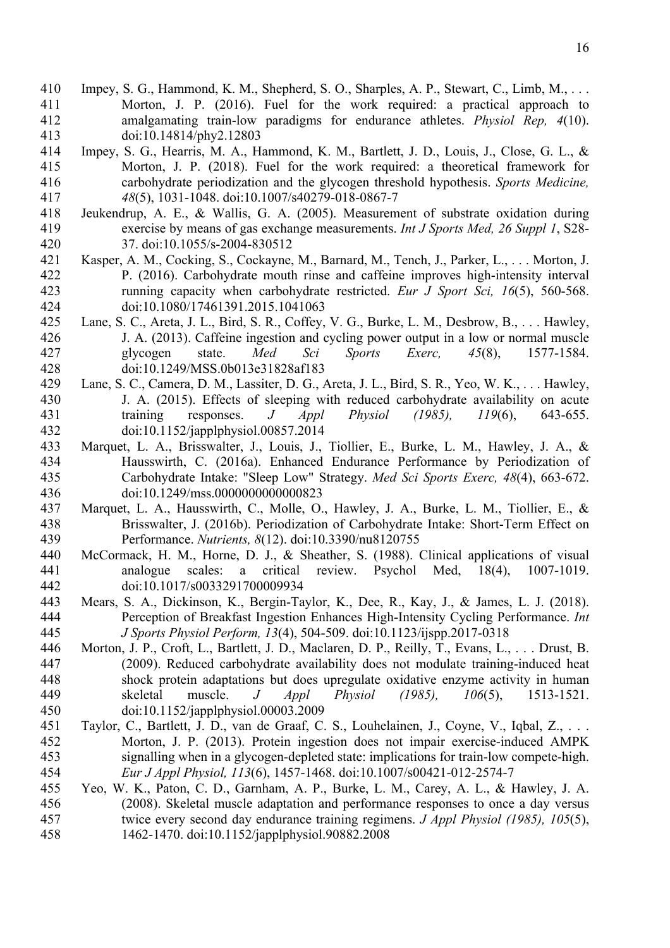- Impey, S. G., Hammond, K. M., Shepherd, S. O., Sharples, A. P., Stewart, C., Limb, M., . . . Morton, J. P. (2016). Fuel for the work required: a practical approach to amalgamating train-low paradigms for endurance athletes. *Physiol Rep, 4*(10). doi:10.14814/phy2.12803
- Impey, S. G., Hearris, M. A., Hammond, K. M., Bartlett, J. D., Louis, J., Close, G. L., & Morton, J. P. (2018). Fuel for the work required: a theoretical framework for carbohydrate periodization and the glycogen threshold hypothesis. *Sports Medicine, 48*(5), 1031-1048. doi:10.1007/s40279-018-0867-7
- Jeukendrup, A. E., & Wallis, G. A. (2005). Measurement of substrate oxidation during exercise by means of gas exchange measurements. *Int J Sports Med, 26 Suppl 1*, S28- 37. doi:10.1055/s-2004-830512
- Kasper, A. M., Cocking, S., Cockayne, M., Barnard, M., Tench, J., Parker, L., . . . Morton, J. P. (2016). Carbohydrate mouth rinse and caffeine improves high-intensity interval running capacity when carbohydrate restricted. *Eur J Sport Sci, 16*(5), 560-568. doi:10.1080/17461391.2015.1041063
- Lane, S. C., Areta, J. L., Bird, S. R., Coffey, V. G., Burke, L. M., Desbrow, B., . . . Hawley, J. A. (2013). Caffeine ingestion and cycling power output in a low or normal muscle glycogen state. *Med Sci Sports Exerc, 45*(8), 1577-1584. doi:10.1249/MSS.0b013e31828af183
- Lane, S. C., Camera, D. M., Lassiter, D. G., Areta, J. L., Bird, S. R., Yeo, W. K., . . . Hawley, J. A. (2015). Effects of sleeping with reduced carbohydrate availability on acute training responses. *J Appl Physiol (1985), 119*(6), 643-655. doi:10.1152/japplphysiol.00857.2014
- Marquet, L. A., Brisswalter, J., Louis, J., Tiollier, E., Burke, L. M., Hawley, J. A., & Hausswirth, C. (2016a). Enhanced Endurance Performance by Periodization of Carbohydrate Intake: "Sleep Low" Strategy. *Med Sci Sports Exerc, 48*(4), 663-672. doi:10.1249/mss.0000000000000823
- Marquet, L. A., Hausswirth, C., Molle, O., Hawley, J. A., Burke, L. M., Tiollier, E., & Brisswalter, J. (2016b). Periodization of Carbohydrate Intake: Short-Term Effect on Performance. *Nutrients, 8*(12). doi:10.3390/nu8120755
- McCormack, H. M., Horne, D. J., & Sheather, S. (1988). Clinical applications of visual analogue scales: a critical review. Psychol Med, 18(4), 1007-1019. doi:10.1017/s0033291700009934
- Mears, S. A., Dickinson, K., Bergin-Taylor, K., Dee, R., Kay, J., & James, L. J. (2018). Perception of Breakfast Ingestion Enhances High-Intensity Cycling Performance. *Int J Sports Physiol Perform, 13*(4), 504-509. doi:10.1123/ijspp.2017-0318
- Morton, J. P., Croft, L., Bartlett, J. D., Maclaren, D. P., Reilly, T., Evans, L., . . . Drust, B. (2009). Reduced carbohydrate availability does not modulate training-induced heat shock protein adaptations but does upregulate oxidative enzyme activity in human skeletal muscle. *J Appl Physiol (1985), 106*(5), 1513-1521. doi:10.1152/japplphysiol.00003.2009
- Taylor, C., Bartlett, J. D., van de Graaf, C. S., Louhelainen, J., Coyne, V., Iqbal, Z., . . . Morton, J. P. (2013). Protein ingestion does not impair exercise-induced AMPK signalling when in a glycogen-depleted state: implications for train-low compete-high. *Eur J Appl Physiol, 113*(6), 1457-1468. doi:10.1007/s00421-012-2574-7
- Yeo, W. K., Paton, C. D., Garnham, A. P., Burke, L. M., Carey, A. L., & Hawley, J. A. (2008). Skeletal muscle adaptation and performance responses to once a day versus twice every second day endurance training regimens. *J Appl Physiol (1985), 105*(5), 1462-1470. doi:10.1152/japplphysiol.90882.2008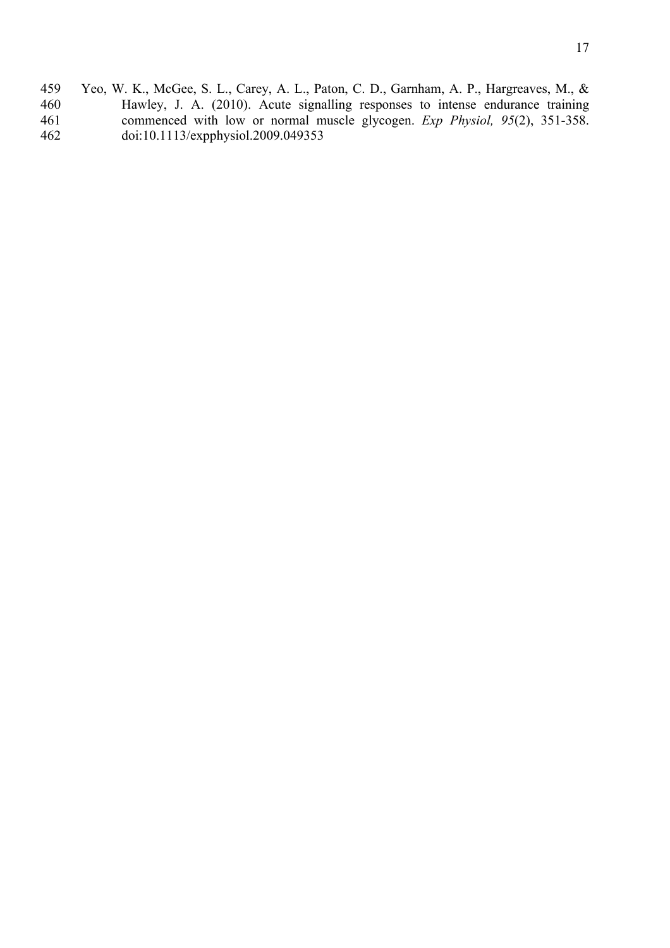459 Yeo, W. K., McGee, S. L., Carey, A. L., Paton, C. D., Garnham, A. P., Hargreaves, M., & 460 Hawley, J. A. (2010). Acute signalling responses to intense endurance training commenced with low or normal muscle glycogen. Exp Physiol, 95(2), 351-358. 461 commenced with low or normal muscle glycogen. *Exp Physiol*, 95(2), 351-358.<br>462 doi:10.1113/expphysiol.2009.049353 462 doi:10.1113/expphysiol.2009.049353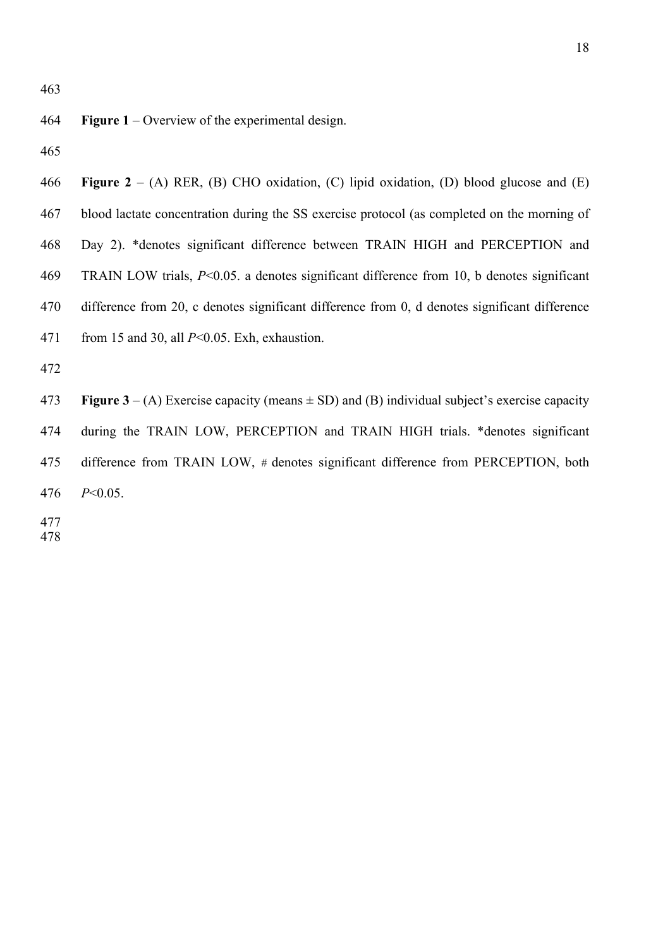**Figure 1** – Overview of the experimental design.

 **Figure 2** – (A) RER, (B) CHO oxidation, (C) lipid oxidation, (D) blood glucose and (E) blood lactate concentration during the SS exercise protocol (as completed on the morning of Day 2). \*denotes significant difference between TRAIN HIGH and PERCEPTION and TRAIN LOW trials, *P*<0.05. a denotes significant difference from 10, b denotes significant difference from 20, c denotes significant difference from 0, d denotes significant difference from 15 and 30, all *P*<0.05. Exh, exhaustion. 

**Figure 3** – (A) Exercise capacity (means  $\pm$  SD) and (B) individual subject's exercise capacity during the TRAIN LOW, PERCEPTION and TRAIN HIGH trials. \*denotes significant difference from TRAIN LOW, *#* denotes significant difference from PERCEPTION, both *P*<0.05.